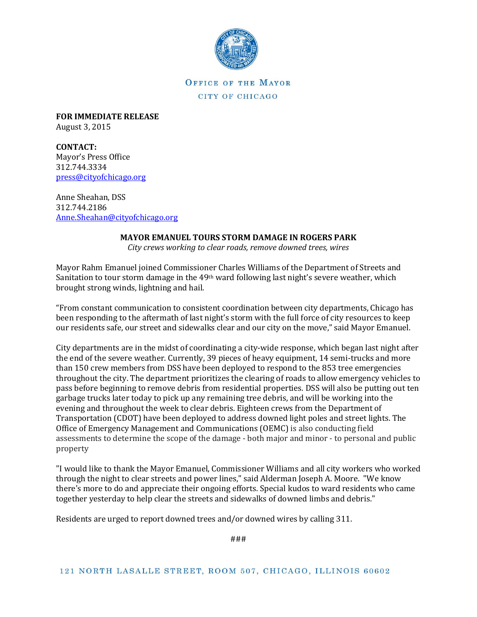

OFFICE OF THE MAYOR CITY OF CHICAGO

**FOR IMMEDIATE RELEASE** August 3, 2015

**CONTACT:** Mayor's Press Office 312.744.3334 [press@cityofchicago.org](mailto:press@cityofchicago.org)

Anne Sheahan, DSS 312.744.2186 [Anne.Sheahan@cityofchicago.org](mailto:Anne.Sheahan@cityofchicago.org)

## **MAYOR EMANUEL TOURS STORM DAMAGE IN ROGERS PARK**

*City crews working to clear roads, remove downed trees, wires*

Mayor Rahm Emanuel joined Commissioner Charles Williams of the Department of Streets and Sanitation to tour storm damage in the 49<sup>th</sup> ward following last night's severe weather, which brought strong winds, lightning and hail.

"From constant communication to consistent coordination between city departments, Chicago has been responding to the aftermath of last night's storm with the full force of city resources to keep our residents safe, our street and sidewalks clear and our city on the move," said Mayor Emanuel.

City departments are in the midst of coordinating a city-wide response, which began last night after the end of the severe weather. Currently, 39 pieces of heavy equipment, 14 semi-trucks and more than 150 crew members from DSS have been deployed to respond to the 853 tree emergencies throughout the city. The department prioritizes the clearing of roads to allow emergency vehicles to pass before beginning to remove debris from residential properties. DSS will also be putting out ten garbage trucks later today to pick up any remaining tree debris, and will be working into the evening and throughout the week to clear debris. Eighteen crews from the Department of Transportation (CDOT) have been deployed to address downed light poles and street lights. The Office of Emergency Management and Communications (OEMC) is also conducting field assessments to determine the scope of the damage - both major and minor - to personal and public property

"I would like to thank the Mayor Emanuel, Commissioner Williams and all city workers who worked through the night to clear streets and power lines," said Alderman Joseph A. Moore. "We know there's more to do and appreciate their ongoing efforts. Special kudos to ward residents who came together yesterday to help clear the streets and sidewalks of downed limbs and debris."

Residents are urged to report downed trees and/or downed wires by calling 311.

###